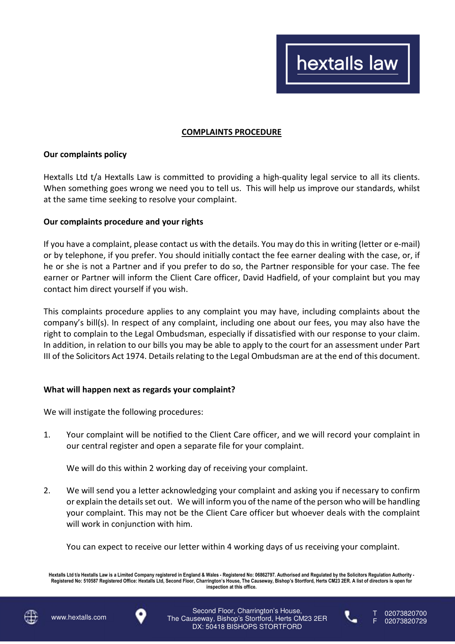## **COMPLAINTS PROCEDURE**

## **Our complaints policy**

Hextalls Ltd t/a Hextalls Law is committed to providing a high-quality legal service to all its clients. When something goes wrong we need you to tell us. This will help us improve our standards, whilst at the same time seeking to resolve your complaint.

## **Our complaints procedure and your rights**

If you have a complaint, please contact us with the details. You may do this in writing (letter or e-mail) or by telephone, if you prefer. You should initially contact the fee earner dealing with the case, or, if he or she is not a Partner and if you prefer to do so, the Partner responsible for your case. The fee earner or Partner will inform the Client Care officer, David Hadfield, of your complaint but you may contact him direct yourself if you wish.

This complaints procedure applies to any complaint you may have, including complaints about the company's bill(s). In respect of any complaint, including one about our fees, you may also have the right to complain to the Legal Ombudsman, especially if dissatisfied with our response to your claim. In addition, in relation to our bills you may be able to apply to the court for an assessment under Part III of the Solicitors Act 1974. Details relating to the Legal Ombudsman are at the end of this document.

## **What will happen next as regards your complaint?**

We will instigate the following procedures:

1. Your complaint will be notified to the Client Care officer, and we will record your complaint in our central register and open a separate file for your complaint.

We will do this within 2 working day of receiving your complaint.

2. We will send you a letter acknowledging your complaint and asking you if necessary to confirm or explain the details set out. We will inform you of the name of the person who will be handling your complaint. This may not be the Client Care officer but whoever deals with the complaint will work in conjunction with him.

You can expect to receive our letter within 4 working days of us receiving your complaint.

**Hextalls Ltd t/a Hextalls Law is a Limited Company registered in England & Wales - Registered No: 06862797. Authorised and Regulated by the Solicitors Regulation Authority - Registered No: 510587 Registered Office: Hextalls Ltd, Second Floor, Charrington's House, The Causeway, Bishop's Stortford, Herts CM23 2ER. A list of directors is open for inspection at this office.** 







02073820729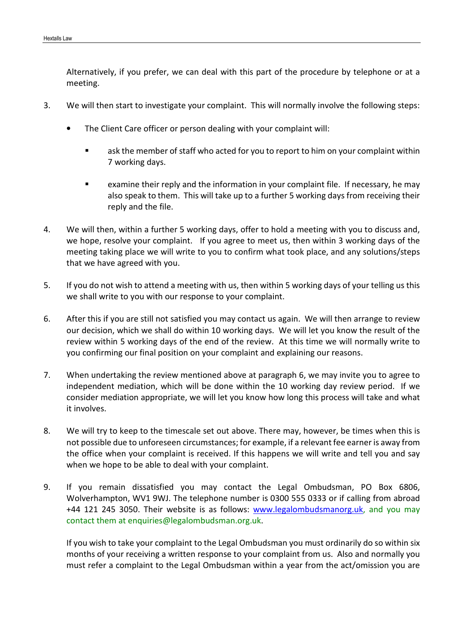Alternatively, if you prefer, we can deal with this part of the procedure by telephone or at a meeting.

- 3. We will then start to investigate your complaint. This will normally involve the following steps:
	- The Client Care officer or person dealing with your complaint will:
		- ask the member of staff who acted for you to report to him on your complaint within 7 working days.
		- examine their reply and the information in your complaint file. If necessary, he may also speak to them. This will take up to a further 5 working days from receiving their reply and the file.
- 4. We will then, within a further 5 working days, offer to hold a meeting with you to discuss and, we hope, resolve your complaint. If you agree to meet us, then within 3 working days of the meeting taking place we will write to you to confirm what took place, and any solutions/steps that we have agreed with you.
- 5. If you do not wish to attend a meeting with us, then within 5 working days of your telling us this we shall write to you with our response to your complaint.
- 6. After this if you are still not satisfied you may contact us again. We will then arrange to review our decision, which we shall do within 10 working days. We will let you know the result of the review within 5 working days of the end of the review. At this time we will normally write to you confirming our final position on your complaint and explaining our reasons.
- 7. When undertaking the review mentioned above at paragraph 6, we may invite you to agree to independent mediation, which will be done within the 10 working day review period. If we consider mediation appropriate, we will let you know how long this process will take and what it involves.
- 8. We will try to keep to the timescale set out above. There may, however, be times when this is not possible due to unforeseen circumstances; for example, if a relevant fee earner is away from the office when your complaint is received. If this happens we will write and tell you and say when we hope to be able to deal with your complaint.
- 9. If you remain dissatisfied you may contact the Legal Ombudsman, PO Box 6806, Wolverhampton, WV1 9WJ. The telephone number is 0300 555 0333 or if calling from abroad +44 121 245 3050. Their website is as follows: www.legalombudsmanorg.uk, and you may contact them at enquiries@legalombudsman.org.uk.

If you wish to take your complaint to the Legal Ombudsman you must ordinarily do so within six months of your receiving a written response to your complaint from us. Also and normally you must refer a complaint to the Legal Ombudsman within a year from the act/omission you are